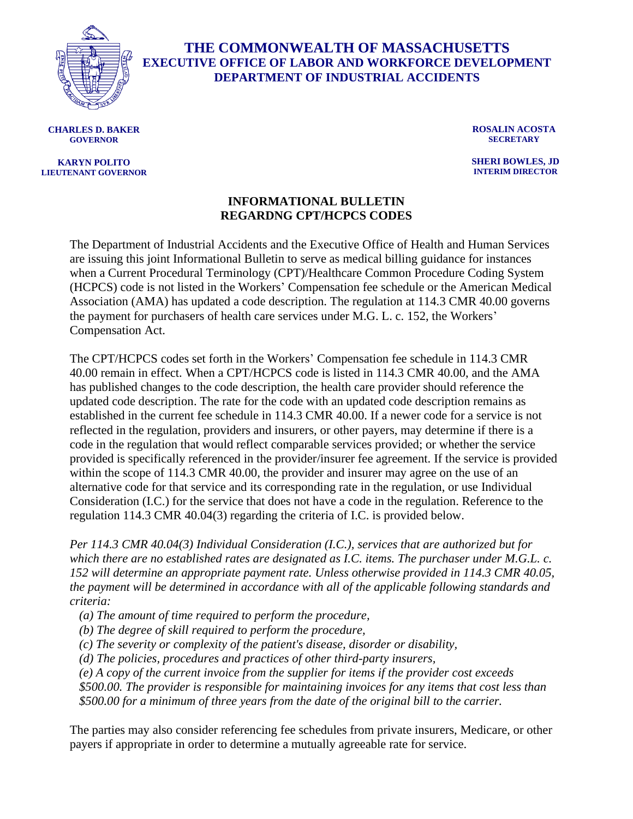

## **THE COMMONWEALTH OF MASSACHUSETTS EXECUTIVE OFFICE OF LABOR AND WORKFORCE DEVELOPMENT DEPARTMENT OF INDUSTRIAL ACCIDENTS**

**CHARLES D. BAKER GOVERNOR**

## **KARYN POLITO LIEUTENANT GOVERNOR**

**ROSALIN ACOSTA SECRETARY**

**SHERI BOWLES, JD INTERIM DIRECTOR**

## **INFORMATIONAL BULLETIN REGARDNG CPT/HCPCS CODES**

The Department of Industrial Accidents and the Executive Office of Health and Human Services are issuing this joint Informational Bulletin to serve as medical billing guidance for instances when a Current Procedural Terminology (CPT)/Healthcare Common Procedure Coding System (HCPCS) code is not listed in the Workers' Compensation fee schedule or the American Medical Association (AMA) has updated a code description. The regulation at 114.3 CMR 40.00 governs the payment for purchasers of health care services under M.G. L. c. 152, the Workers' Compensation Act.

The CPT/HCPCS codes set forth in the Workers' Compensation fee schedule in 114.3 CMR 40.00 remain in effect. When a CPT/HCPCS code is listed in 114.3 CMR 40.00, and the AMA has published changes to the code description, the health care provider should reference the updated code description. The rate for the code with an updated code description remains as established in the current fee schedule in 114.3 CMR 40.00. If a newer code for a service is not reflected in the regulation, providers and insurers, or other payers, may determine if there is a code in the regulation that would reflect comparable services provided; or whether the service provided is specifically referenced in the provider/insurer fee agreement. If the service is provided within the scope of 114.3 CMR 40.00, the provider and insurer may agree on the use of an alternative code for that service and its corresponding rate in the regulation, or use Individual Consideration (I.C.) for the service that does not have a code in the regulation. Reference to the regulation 114.3 CMR 40.04(3) regarding the criteria of I.C. is provided below.

*Per 114.3 CMR 40.04(3) Individual Consideration (I.C.), services that are authorized but for which there are no established rates are designated as I.C. items. The purchaser under M.G.L. c. 152 will determine an appropriate payment rate. Unless otherwise provided in 114.3 CMR 40.05, the payment will be determined in accordance with all of the applicable following standards and criteria:*

*(a) The amount of time required to perform the procedure,*

*(b) The degree of skill required to perform the procedure,*

*(c) The severity or complexity of the patient's disease, disorder or disability,*

*(d) The policies, procedures and practices of other third-party insurers,*

*(e) A copy of the current invoice from the supplier for items if the provider cost exceeds \$500.00. The provider is responsible for maintaining invoices for any items that cost less than \$500.00 for a minimum of three years from the date of the original bill to the carrier.* 

The parties may also consider referencing fee schedules from private insurers, Medicare, or other payers if appropriate in order to determine a mutually agreeable rate for service.